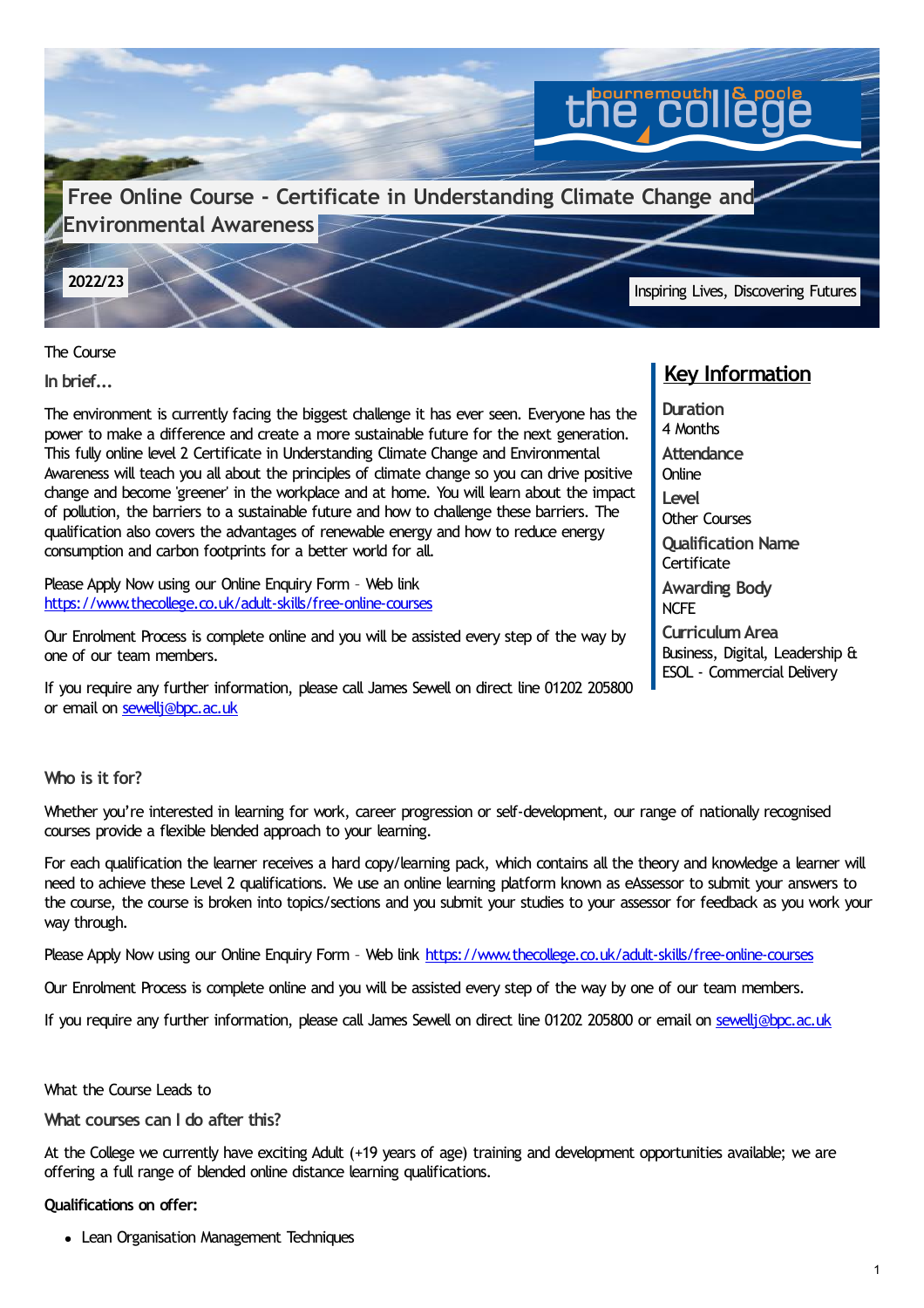

The Course

**In brief...**

The environment is currently facing the biggest challenge it has ever seen. Everyone has the power to make a difference and create a more sustainable future for the next generation. This fully online level 2 Certificate in Understanding Climate Change and Environmental Awareness will teach you all about the principles of climate change so you can drive positive change and become 'greener' in the workplace and at home. You will learn about the impact of pollution, the barriers to a sustainable future and how to challenge these barriers. The qualification also covers the advantages of renewable energy and how to reduce energy consumption and carbon footprints for a better world for all.

Please Apply Now using our Online Enquiry Form - Web link <https://www.thecollege.co.uk/adult-skills/free-online-courses>

Our Enrolment Process is complete online and you will be assisted every step of the way by one of our team members.

If you require any further information, please call James Sewell on direct line 01202 205800 or email on [sewellj@bpc.ac.uk](mailto:sewellj@bpc.ac.uk)

# **Key Information**

**Duration** 4 Months **Attendance Online Level** Other Courses **Qualification Name Certificate Awarding Body** NCFE **CurriculumArea** Business, Digital, Leadership & ESOL - Commercial Delivery

# **Who is it for?**

Whether you're interested in learning for work, career progression or self-development, our range of nationally recognised courses provide a flexible blended approach to your learning.

For each qualification the learner receives a hard copy/learning pack, which contains all the theory and knowledge a learner will need to achieve these Level 2 qualifications. We use an online learning platform known as eAssessor to submit your answers to the course, the course is broken into topics/sections and you submit your studies to your assessor for feedback as you work your way through.

Please Apply Now using our Online Enquiry Form - Web link <https://www.thecollege.co.uk/adult-skills/free-online-courses>

Our Enrolment Process is complete online and you will be assisted every step of the way by one of our team members.

If you require any further information, please call James Sewell on direct line 01202 205800 or email on [sewellj@bpc.ac.uk](mailto:sewellj@bpc.ac.uk)

What the Course Leads to

**What courses can I do after this?**

At the College we currently have exciting Adult (+19 years of age) training and development opportunities available; we are offering a full range of blended online distance learning qualifications.

### **Qualifications on offer:**

Lean Organisation Management Techniques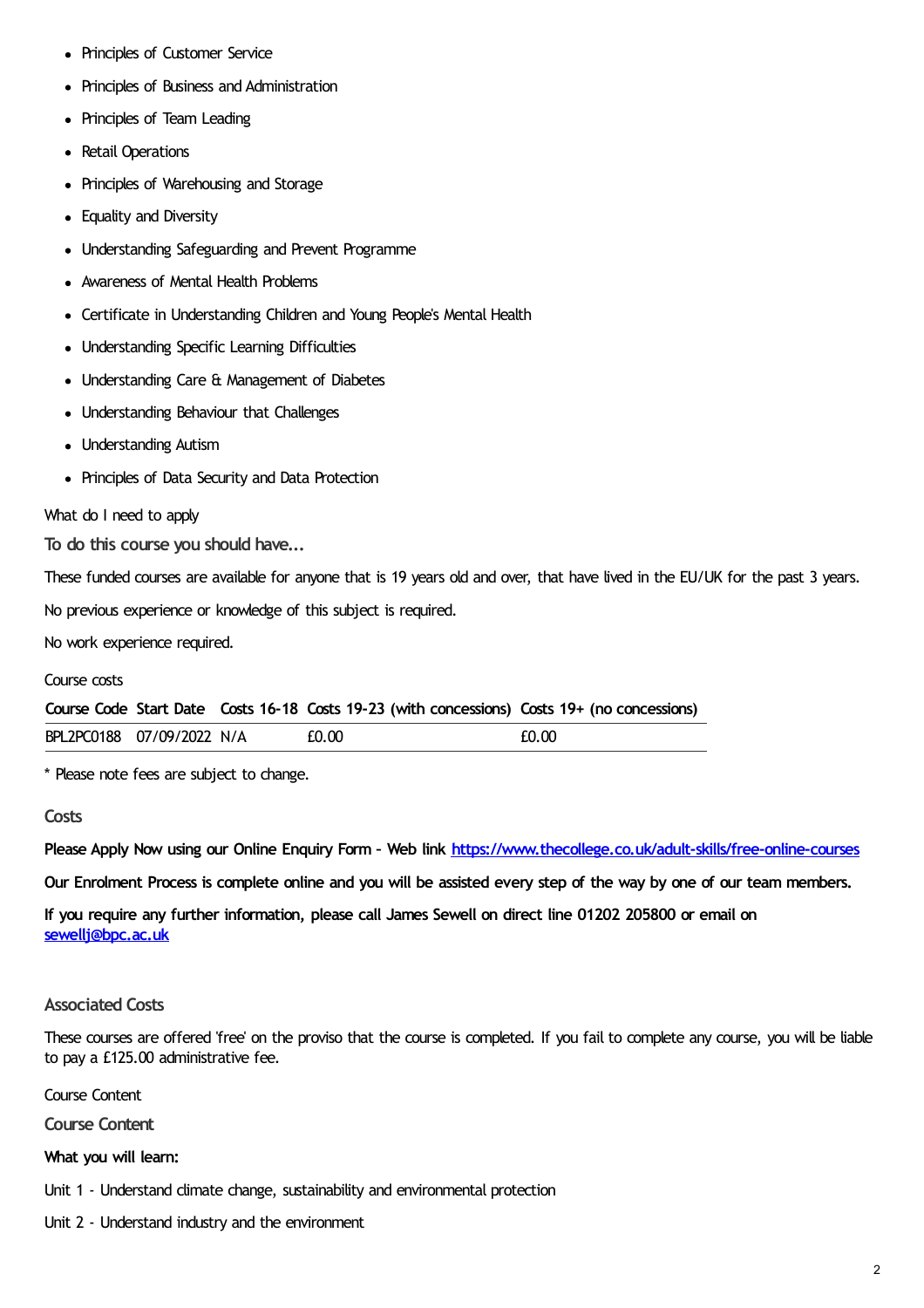- Principles of Customer Service
- Principles of Business and Administration
- Principles of Team Leading
- Retail Operations
- Principles of Warehousing and Storage
- Equality and Diversity
- Understanding Safeguarding and Prevent Programme
- Awareness of Mental Health Problems
- Certificate in Understanding Children and Young People's Mental Health
- Understanding Specific Learning Difficulties
- Understanding Care & Management of Diabetes
- Understanding Behaviour that Challenges
- Understanding Autism
- Principles of Data Security and Data Protection

#### What do I need to apply

**To do this course you should have...**

These funded courses are available for anyone that is 19 years old and over, that have lived in the EU/UK for the past 3 years.

No previous experience or knowledge of this subject is required.

No work experience required.

#### Course costs

**Course Code Start Date Costs 16-18 Costs 19-23 (with concessions) Costs 19+ (no concessions)**

| BPL2PC0188 | 07/09/2022 N/A | £0.00 | - CO |  |
|------------|----------------|-------|------|--|
|            |                |       |      |  |

\* Please note fees are subject to change.

#### **Costs**

**Please Apply Now using our Online Enquiry Form – Web link <https://www.thecollege.co.uk/adult-skills/free-online-courses>**

Our Enrolment Process is complete online and you will be assisted every step of the way by one of our team members.

If you require any further information, please call James Sewell on direct line 01202 205800 or email on **[sewellj@bpc.ac.uk](mailto:sewellj@bpc.ac.uk)**

## **Associated Costs**

These courses are offered 'free' on the proviso that the course is completed. If you fail to complete any course, you will be liable to pay a £125.00 administrative fee.

Course Content

**Course Content**

#### **What you will learn:**

- Unit 1 Understand climate change, sustainability and environmental protection
- Unit 2 Understand industry and the environment